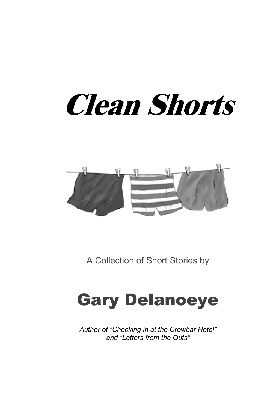# **Clean Shorts**



A Collection of Short Stories by

#### Gary Delanoeye

*Author of "Checking in at the Crowbar Hotel" and "Letters from the Outs"*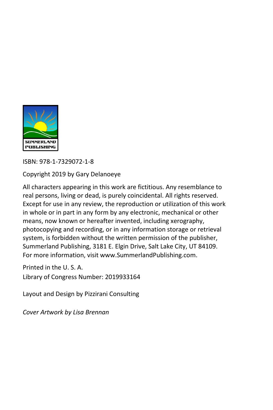

ISBN: 978-1-7329072-1-8

Copyright 2019 by Gary Delanoeye

All characters appearing in this work are fictitious. Any resemblance to real persons, living or dead, is purely coincidental. All rights reserved. Except for use in any review, the reproduction or utilization of this work in whole or in part in any form by any electronic, mechanical or other means, now known or hereafter invented, including xerography, photocopying and recording, or in any information storage or retrieval system, is forbidden without the written permission of the publisher, Summerland Publishing, 3181 E. Elgin Drive, Salt Lake City, UT 84109. For more information, visi[t www.SummerlandPublishing.com.](http://www.summerlandpublishing.com/)

Printed in the U. S. A. Library of Congress Number: 2019933164

Layout and Design by Pizzirani Consulting

*Cover Artwork by Lisa Brennan*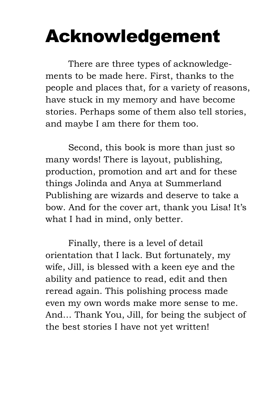### Acknowledgement

There are three types of acknowledgements to be made here. First, thanks to the people and places that, for a variety of reasons, have stuck in my memory and have become stories. Perhaps some of them also tell stories, and maybe I am there for them too.

Second, this book is more than just so many words! There is layout, publishing, production, promotion and art and for these things Jolinda and Anya at Summerland Publishing are wizards and deserve to take a bow. And for the cover art, thank you Lisa! It's what I had in mind, only better.

Finally, there is a level of detail orientation that I lack. But fortunately, my wife, Jill, is blessed with a keen eye and the ability and patience to read, edit and then reread again. This polishing process made even my own words make more sense to me. And… Thank You, Jill, for being the subject of the best stories I have not yet written!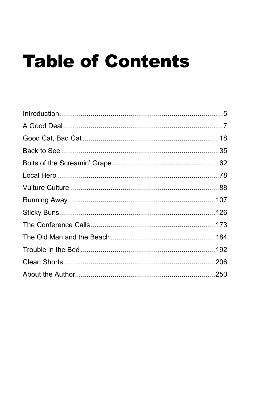## **Table of Contents**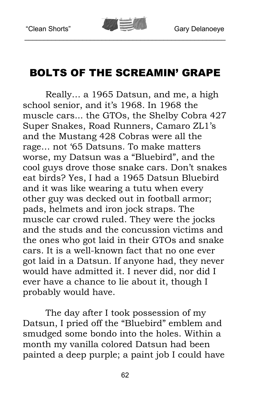

#### BOLTS OF THE SCREAMIN' GRAPE

Really… a 1965 Datsun, and me, a high school senior, and it's 1968. In 1968 the muscle cars... the GTOs, the Shelby Cobra 427 Super Snakes, Road Runners, Camaro ZL1's and the Mustang 428 Cobras were all the rage… not '65 Datsuns. To make matters worse, my Datsun was a "Bluebird", and the cool guys drove those snake cars. Don't snakes eat birds? Yes, I had a 1965 Datsun Bluebird and it was like wearing a tutu when every other guy was decked out in football armor; pads, helmets and iron jock straps. The muscle car crowd ruled. They were the jocks and the studs and the concussion victims and the ones who got laid in their GTOs and snake cars. It is a well-known fact that no one ever got laid in a Datsun. If anyone had, they never would have admitted it. I never did, nor did I ever have a chance to lie about it, though I probably would have.

The day after I took possession of my Datsun, I pried off the "Bluebird" emblem and smudged some bondo into the holes. Within a month my vanilla colored Datsun had been painted a deep purple; a paint job I could have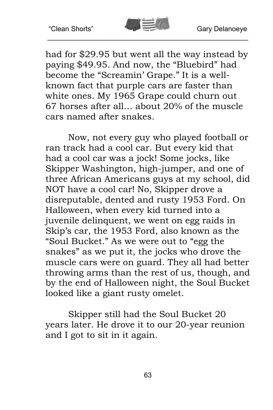

had for \$29.95 but went all the way instead by paying \$49.95. And now, the "Bluebird" had become the "Screamin' Grape." It is a wellknown fact that purple cars are faster than white ones. My 1965 Grape could churn out 67 horses after all… about 20% of the muscle cars named after snakes.

Now, not every guy who played football or ran track had a cool car. But every kid that had a cool car was a jock! Some jocks, like Skipper Washington, high-jumper, and one of three African Americans guys at my school, did NOT have a cool car! No, Skipper drove a disreputable, dented and rusty 1953 Ford. On Halloween, when every kid turned into a juvenile delinquent, we went on egg raids in Skip's car, the 1953 Ford, also known as the "Soul Bucket." As we were out to "egg the snakes" as we put it, the jocks who drove the muscle cars were on guard. They all had better throwing arms than the rest of us, though, and by the end of Halloween night, the Soul Bucket looked like a giant rusty omelet.

Skipper still had the Soul Bucket 20 years later. He drove it to our 20-year reunion and I got to sit in it again.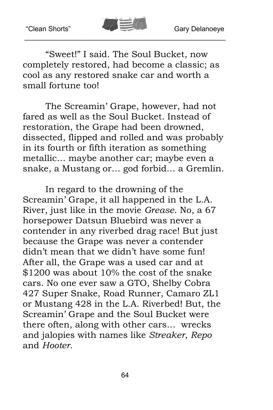

"Sweet!" I said. The Soul Bucket, now completely restored, had become a classic; as cool as any restored snake car and worth a small fortune too!

The Screamin' Grape, however, had not fared as well as the Soul Bucket. Instead of restoration, the Grape had been drowned, dissected, flipped and rolled and was probably in its fourth or fifth iteration as something metallic… maybe another car; maybe even a snake, a Mustang or… god forbid… a Gremlin.

In regard to the drowning of the Screamin' Grape, it all happened in the L.A. River, just like in the movie *Grease*. No, a 67 horsepower Datsun Bluebird was never a contender in any riverbed drag race! But just because the Grape was never a contender didn't mean that we didn't have some fun! After all, the Grape was a used car and at \$1200 was about 10% the cost of the snake cars. No one ever saw a GTO, Shelby Cobra 427 Super Snake, Road Runner, Camaro ZL1 or Mustang 428 in the L.A. Riverbed! But, the Screamin' Grape and the Soul Bucket were there often, along with other cars… wrecks and jalopies with names like *Streaker*, *Repo*  and *Hooter*.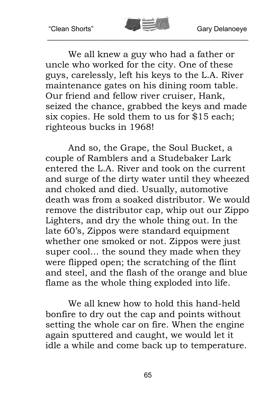

We all knew a guy who had a father or uncle who worked for the city. One of these guys, carelessly, left his keys to the L.A. River maintenance gates on his dining room table. Our friend and fellow river cruiser, Hank, seized the chance, grabbed the keys and made six copies. He sold them to us for \$15 each; righteous bucks in 1968!

And so, the Grape, the Soul Bucket, a couple of Ramblers and a Studebaker Lark entered the L.A. River and took on the current and surge of the dirty water until they wheezed and choked and died. Usually, automotive death was from a soaked distributor. We would remove the distributor cap, whip out our Zippo Lighters, and dry the whole thing out. In the late 60's, Zippos were standard equipment whether one smoked or not. Zippos were just super cool… the sound they made when they were flipped open; the scratching of the flint and steel, and the flash of the orange and blue flame as the whole thing exploded into life.

We all knew how to hold this hand-held bonfire to dry out the cap and points without setting the whole car on fire. When the engine again sputtered and caught, we would let it idle a while and come back up to temperature.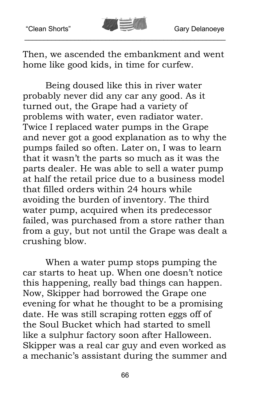

Then, we ascended the embankment and went home like good kids, in time for curfew.

Being doused like this in river water probably never did any car any good. As it turned out, the Grape had a variety of problems with water, even radiator water. Twice I replaced water pumps in the Grape and never got a good explanation as to why the pumps failed so often. Later on, I was to learn that it wasn't the parts so much as it was the parts dealer. He was able to sell a water pump at half the retail price due to a business model that filled orders within 24 hours while avoiding the burden of inventory. The third water pump, acquired when its predecessor failed, was purchased from a store rather than from a guy, but not until the Grape was dealt a crushing blow.

When a water pump stops pumping the car starts to heat up. When one doesn't notice this happening, really bad things can happen. Now, Skipper had borrowed the Grape one evening for what he thought to be a promising date. He was still scraping rotten eggs off of the Soul Bucket which had started to smell like a sulphur factory soon after Halloween. Skipper was a real car guy and even worked as a mechanic's assistant during the summer and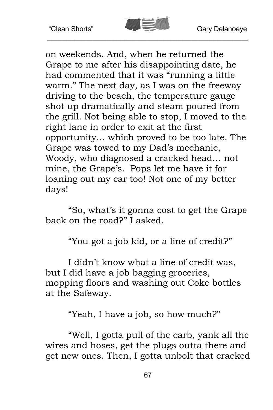

on weekends. And, when he returned the Grape to me after his disappointing date, he had commented that it was "running a little warm." The next day, as I was on the freeway driving to the beach, the temperature gauge shot up dramatically and steam poured from the grill. Not being able to stop, I moved to the right lane in order to exit at the first opportunity… which proved to be too late. The Grape was towed to my Dad's mechanic, Woody, who diagnosed a cracked head… not mine, the Grape's. Pops let me have it for loaning out my car too! Not one of my better days!

"So, what's it gonna cost to get the Grape back on the road?" I asked.

"You got a job kid, or a line of credit?"

I didn't know what a line of credit was, but I did have a job bagging groceries, mopping floors and washing out Coke bottles at the Safeway.

"Yeah, I have a job, so how much?"

"Well, I gotta pull of the carb, yank all the wires and hoses, get the plugs outta there and get new ones. Then, I gotta unbolt that cracked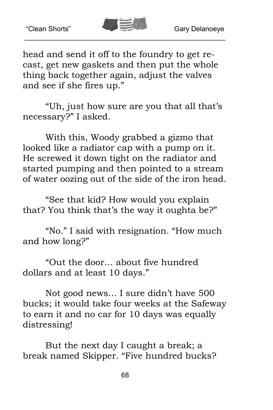

head and send it off to the foundry to get recast, get new gaskets and then put the whole thing back together again, adjust the valves and see if she fires up."

"Uh, just how sure are you that all that's necessary?" I asked.

With this, Woody grabbed a gizmo that looked like a radiator cap with a pump on it. He screwed it down tight on the radiator and started pumping and then pointed to a stream of water oozing out of the side of the iron head.

"See that kid? How would you explain that? You think that's the way it oughta be?"

"No." I said with resignation. "How much and how long?"

"Out the door… about five hundred dollars and at least 10 days."

Not good news… I sure didn't have 500 bucks; it would take four weeks at the Safeway to earn it and no car for 10 days was equally distressing!

But the next day I caught a break; a break named Skipper. "Five hundred bucks?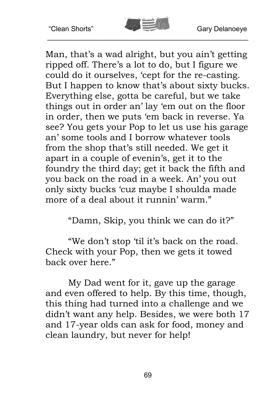

Man, that's a wad alright, but you ain't getting ripped off. There's a lot to do, but I figure we could do it ourselves, 'cept for the re-casting. But I happen to know that's about sixty bucks. Everything else, gotta be careful, but we take things out in order an' lay 'em out on the floor in order, then we puts 'em back in reverse. Ya see? You gets your Pop to let us use his garage an' some tools and I borrow whatever tools from the shop that's still needed. We get it apart in a couple of evenin's, get it to the foundry the third day; get it back the fifth and you back on the road in a week. An' you out only sixty bucks 'cuz maybe I shoulda made more of a deal about it runnin' warm."

"Damn, Skip, you think we can do it?"

"We don't stop 'til it's back on the road. Check with your Pop, then we gets it towed back over here."

My Dad went for it, gave up the garage and even offered to help. By this time, though, this thing had turned into a challenge and we didn't want any help. Besides, we were both 17 and 17-year olds can ask for food, money and clean laundry, but never for help!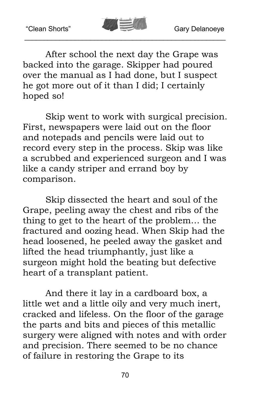

After school the next day the Grape was backed into the garage. Skipper had poured over the manual as I had done, but I suspect he got more out of it than I did; I certainly hoped so!

Skip went to work with surgical precision. First, newspapers were laid out on the floor and notepads and pencils were laid out to record every step in the process. Skip was like a scrubbed and experienced surgeon and I was like a candy striper and errand boy by comparison.

Skip dissected the heart and soul of the Grape, peeling away the chest and ribs of the thing to get to the heart of the problem… the fractured and oozing head. When Skip had the head loosened, he peeled away the gasket and lifted the head triumphantly, just like a surgeon might hold the beating but defective heart of a transplant patient.

And there it lay in a cardboard box, a little wet and a little oily and very much inert, cracked and lifeless. On the floor of the garage the parts and bits and pieces of this metallic surgery were aligned with notes and with order and precision. There seemed to be no chance of failure in restoring the Grape to its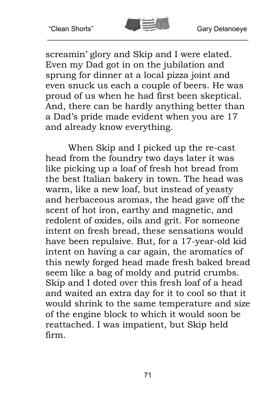

screamin' glory and Skip and I were elated. Even my Dad got in on the jubilation and sprung for dinner at a local pizza joint and even snuck us each a couple of beers. He was proud of us when he had first been skeptical. And, there can be hardly anything better than a Dad's pride made evident when you are 17 and already know everything.

When Skip and I picked up the re-cast head from the foundry two days later it was like picking up a loaf of fresh hot bread from the best Italian bakery in town. The head was warm, like a new loaf, but instead of yeasty and herbaceous aromas, the head gave off the scent of hot iron, earthy and magnetic, and redolent of oxides, oils and grit. For someone intent on fresh bread, these sensations would have been repulsive. But, for a 17-year-old kid intent on having a car again, the aromatics of this newly forged head made fresh baked bread seem like a bag of moldy and putrid crumbs. Skip and I doted over this fresh loaf of a head and waited an extra day for it to cool so that it would shrink to the same temperature and size of the engine block to which it would soon be reattached. I was impatient, but Skip held firm.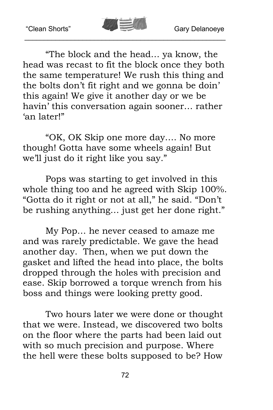

"The block and the head… ya know, the head was recast to fit the block once they both the same temperature! We rush this thing and the bolts don't fit right and we gonna be doin' this again! We give it another day or we be havin' this conversation again sooner… rather 'an later!"

"OK, OK Skip one more day…. No more though! Gotta have some wheels again! But we'll just do it right like you say."

Pops was starting to get involved in this whole thing too and he agreed with Skip 100%. "Gotta do it right or not at all," he said. "Don't be rushing anything… just get her done right."

My Pop… he never ceased to amaze me and was rarely predictable. We gave the head another day. Then, when we put down the gasket and lifted the head into place, the bolts dropped through the holes with precision and ease. Skip borrowed a torque wrench from his boss and things were looking pretty good.

Two hours later we were done or thought that we were. Instead, we discovered two bolts on the floor where the parts had been laid out with so much precision and purpose. Where the hell were these bolts supposed to be? How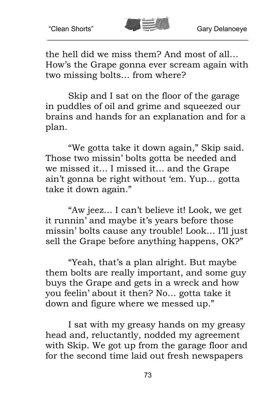

the hell did we miss them? And most of all… How's the Grape gonna ever scream again with two missing bolts… from where?

Skip and I sat on the floor of the garage in puddles of oil and grime and squeezed our brains and hands for an explanation and for a plan.

"We gotta take it down again," Skip said. Those two missin' bolts gotta be needed and we missed it… I missed it… and the Grape ain't gonna be right without 'em. Yup… gotta take it down again."

"Aw jeez… I can't believe it! Look, we get it runnin' and maybe it's years before those missin' bolts cause any trouble! Look… I'll just sell the Grape before anything happens, OK?"

"Yeah, that's a plan alright. But maybe them bolts are really important, and some guy buys the Grape and gets in a wreck and how you feelin' about it then? No… gotta take it down and figure where we messed up."

I sat with my greasy hands on my greasy head and, reluctantly, nodded my agreement with Skip. We got up from the garage floor and for the second time laid out fresh newspapers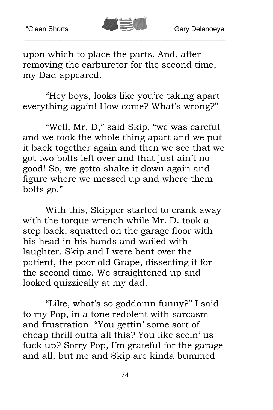

upon which to place the parts. And, after removing the carburetor for the second time, my Dad appeared.

"Hey boys, looks like you're taking apart everything again! How come? What's wrong?"

"Well, Mr. D," said Skip, "we was careful and we took the whole thing apart and we put it back together again and then we see that we got two bolts left over and that just ain't no good! So, we gotta shake it down again and figure where we messed up and where them bolts go."

With this, Skipper started to crank away with the torque wrench while Mr. D. took a step back, squatted on the garage floor with his head in his hands and wailed with laughter. Skip and I were bent over the patient, the poor old Grape, dissecting it for the second time. We straightened up and looked quizzically at my dad.

"Like, what's so goddamn funny?" I said to my Pop, in a tone redolent with sarcasm and frustration. "You gettin' some sort of cheap thrill outta all this? You like seein' us fuck up? Sorry Pop, I'm grateful for the garage and all, but me and Skip are kinda bummed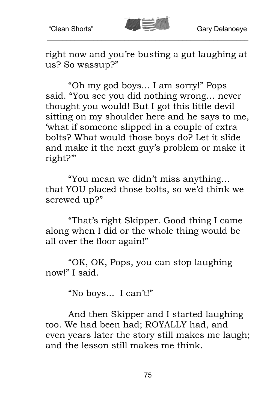

right now and you're busting a gut laughing at us? So wassup?"

"Oh my god boys… I am sorry!" Pops said. "You see you did nothing wrong… never thought you would! But I got this little devil sitting on my shoulder here and he says to me, 'what if someone slipped in a couple of extra bolts? What would those boys do? Let it slide and make it the next guy's problem or make it right?'"

"You mean we didn't miss anything… that YOU placed those bolts, so we'd think we screwed up?"

"That's right Skipper. Good thing I came along when I did or the whole thing would be all over the floor again!"

"OK, OK, Pops, you can stop laughing now!" I said.

"No boys... I can't!"

And then Skipper and I started laughing too. We had been had; ROYALLY had, and even years later the story still makes me laugh; and the lesson still makes me think.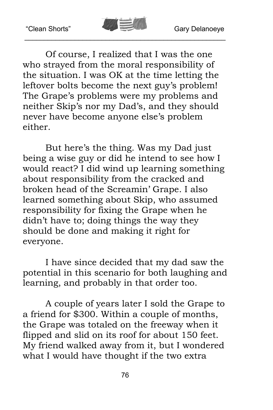

Of course, I realized that I was the one who strayed from the moral responsibility of the situation. I was OK at the time letting the leftover bolts become the next guy's problem! The Grape's problems were my problems and neither Skip's nor my Dad's, and they should never have become anyone else's problem either.

But here's the thing. Was my Dad just being a wise guy or did he intend to see how I would react? I did wind up learning something about responsibility from the cracked and broken head of the Screamin' Grape. I also learned something about Skip, who assumed responsibility for fixing the Grape when he didn't have to; doing things the way they should be done and making it right for everyone.

I have since decided that my dad saw the potential in this scenario for both laughing and learning, and probably in that order too.

A couple of years later I sold the Grape to a friend for \$300. Within a couple of months, the Grape was totaled on the freeway when it flipped and slid on its roof for about 150 feet. My friend walked away from it, but I wondered what I would have thought if the two extra